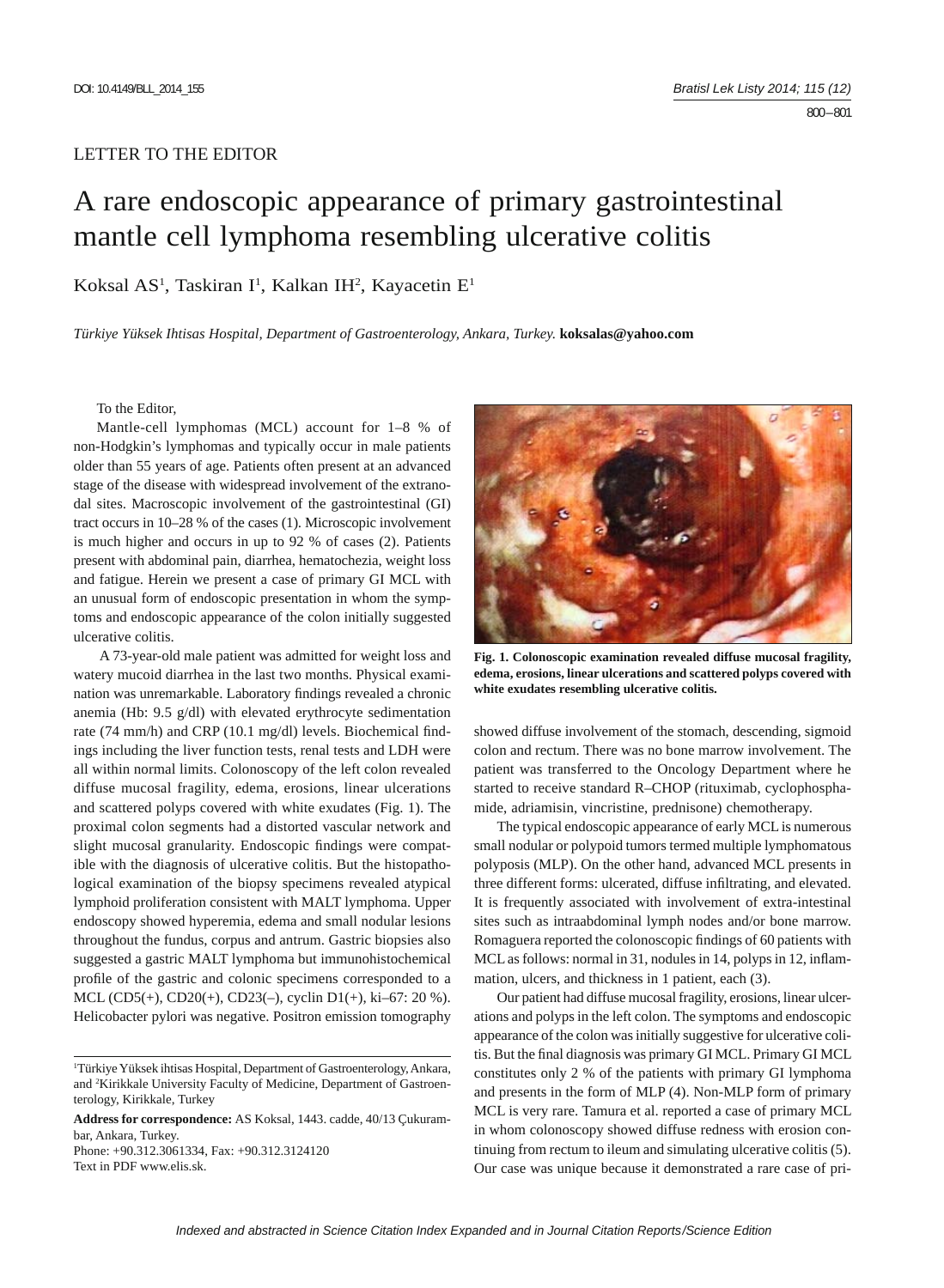## LETTER TO THE EDITOR

## A rare endoscopic appearance of primary gastrointestinal mantle cell lymphoma resembling ulcerative colitis

## Koksal AS<sup>1</sup>, Taskiran I<sup>1</sup>, Kalkan IH<sup>2</sup>, Kayacetin E<sup>1</sup>

*Türkiye Yüksek Ihtisas Hospital, Department of Gastroenterology, Ankara, Turkey.* **koksalas@yahoo.com**

To the Editor,

Mantle-cell lymphomas (MCL) account for 1–8 % of non-Hodgkin's lymphomas and typically occur in male patients older than 55 years of age. Patients often present at an advanced stage of the disease with widespread involvement of the extranodal sites. Macroscopic involvement of the gastrointestinal (GI) tract occurs in 10–28 % of the cases (1). Microscopic involvement is much higher and occurs in up to 92 % of cases (2). Patients present with abdominal pain, diarrhea, hematochezia, weight loss and fatigue. Herein we present a case of primary GI MCL with an unusual form of endoscopic presentation in whom the symptoms and endoscopic appearance of the colon initially suggested ulcerative colitis.

 A 73-year-old male patient was admitted for weight loss and watery mucoid diarrhea in the last two months. Physical examination was unremarkable. Laboratory findings revealed a chronic anemia (Hb: 9.5 g/dl) with elevated erythrocyte sedimentation rate (74 mm/h) and CRP (10.1 mg/dl) levels. Biochemical findings including the liver function tests, renal tests and LDH were all within normal limits. Colonoscopy of the left colon revealed diffuse mucosal fragility, edema, erosions, linear ulcerations and scattered polyps covered with white exudates (Fig. 1). The proximal colon segments had a distorted vascular network and slight mucosal granularity. Endoscopic findings were compatible with the diagnosis of ulcerative colitis. But the histopathological examination of the biopsy specimens revealed atypical lymphoid proliferation consistent with MALT lymphoma. Upper endoscopy showed hyperemia, edema and small nodular lesions throughout the fundus, corpus and antrum. Gastric biopsies also suggested a gastric MALT lymphoma but immunohistochemical profile of the gastric and colonic specimens corresponded to a MCL (CD5(+), CD20(+), CD23(–), cyclin D1(+), ki–67: 20 %). Helicobacter pylori was negative. Positron emission tomography

Text in PDF www.elis.sk.



**Fig. 1. Colonoscopic examination revealed diffuse mucosal fragility, edema, erosions, linear ulcerations and scattered polyps covered with white exudates resembling ulcerative colitis.**

showed diffuse involvement of the stomach, descending, sigmoid colon and rectum. There was no bone marrow involvement. The patient was transferred to the Oncology Department where he started to receive standard R–CHOP (rituximab, cyclophosphamide, adriamisin, vincristine, prednisone) chemotherapy.

The typical endoscopic appearance of early MCL is numerous small nodular or polypoid tumors termed multiple lymphomatous polyposis (MLP). On the other hand, advanced MCL presents in three different forms: ulcerated, diffuse infiltrating, and elevated. It is frequently associated with involvement of extra-intestinal sites such as intraabdominal lymph nodes and/or bone marrow. Romaguera reported the colonoscopic findings of 60 patients with MCL as follows: normal in 31, nodules in 14, polyps in 12, inflammation, ulcers, and thickness in 1 patient, each (3).

Our patient had diffuse mucosal fragility, erosions, linear ulcerations and polyps in the left colon. The symptoms and endoscopic appearance of the colon was initially suggestive for ulcerative colitis. But the final diagnosis was primary GI MCL. Primary GI MCL constitutes only 2 % of the patients with primary GI lymphoma and presents in the form of MLP (4). Non-MLP form of primary MCL is very rare. Tamura et al. reported a case of primary MCL in whom colonoscopy showed diffuse redness with erosion continuing from rectum to ileum and simulating ulcerative colitis (5). Our case was unique because it demonstrated a rare case of pri-

<sup>1</sup> Türkiye Yüksek ihtisas Hospital, Department of Gastroenterology, Ankara, and 2 Kirikkale University Faculty of Medicine, Department of Gastroenterology, Kirikkale, Turkey

**Address for correspondence:** AS Koksal, 1443. cadde, 40/13 Çukurambar, Ankara, Turkey. Phone: +90.312.3061334, Fax: +90.312.3124120